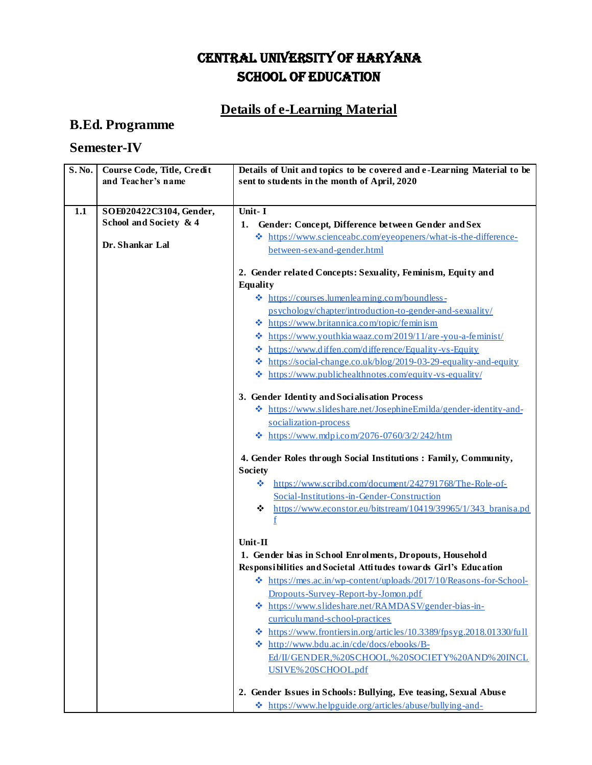## CENTRAL UNIVERSITY OF HARYANA SCHOOL OF EDUCATION

## **Details of e-Learning Material**

## **B.Ed. Programme**

## **Semester-IV**

| S. No. | Course Code, Title, Credit<br>and Teacher's name  | Details of Unit and topics to be covered and e-Learning Material to be<br>sent to students in the month of April, 2020 |
|--------|---------------------------------------------------|------------------------------------------------------------------------------------------------------------------------|
|        |                                                   |                                                                                                                        |
|        |                                                   |                                                                                                                        |
| 1.1    | SOE020422C3104, Gender,<br>School and Society & 4 | Unit-I                                                                                                                 |
|        |                                                   | Gender: Concept, Difference between Gender and Sex<br>1.                                                               |
|        | Dr. Shankar Lal                                   | * https://www.scienceabc.com/eyeopeners/what-is-the-difference-                                                        |
|        |                                                   | between-sex-and-gender.html                                                                                            |
|        |                                                   | 2. Gender related Concepts: Sexuality, Feminism, Equity and                                                            |
|        |                                                   | <b>Equality</b>                                                                                                        |
|        |                                                   | $\triangleleft$ https://courses.lumenlearning.com/boundless-                                                           |
|        |                                                   | psychology/chapter/introduction-to-gender-and-sexuality/                                                               |
|        |                                                   | $\triangleleft$ https://www.britannica.com/topic/femin ism                                                             |
|        |                                                   | <b> ₺</b> https://www.youthkia waaz.com/2019/11/are-you-a-feminist/                                                    |
|        |                                                   | https://www.diffen.com/difference/Equality-vs-Equity<br>❖                                                              |
|        |                                                   | https://social-change.co.uk/blog/2019-03-29-equality-and-equity<br>❖                                                   |
|        |                                                   | https://www.publichealthnotes.com/equity-vs-equality/<br>❖                                                             |
|        |                                                   | 3. Gender Identity and Socialisation Process                                                                           |
|        |                                                   | ❖ https://www.slideshare.net/JosephineEmilda/gender-identity-and-                                                      |
|        |                                                   | socialization-process                                                                                                  |
|        |                                                   | $\cdot$ https://www.mdpi.com/2076-0760/3/2/242/htm                                                                     |
|        |                                                   |                                                                                                                        |
|        |                                                   | 4. Gender Roles through Social Institutions: Family, Community,                                                        |
|        |                                                   | <b>Society</b>                                                                                                         |
|        |                                                   | https://www.scribd.com/document/242791768/The-Role-of-<br>❖                                                            |
|        |                                                   | Social-Institutions-in-Gender-Construction                                                                             |
|        |                                                   | https://www.econstor.eu/bitstream/10419/39965/1/343 branisa.pd<br>❖                                                    |
|        |                                                   |                                                                                                                        |
|        |                                                   | $Unit-II$                                                                                                              |
|        |                                                   | 1. Gender bias in School Enrolments, Dropouts, Household                                                               |
|        |                                                   | Responsibilities and Societal Attitudes towards Girl's Education                                                       |
|        |                                                   | https://mes.ac.in/wp-content/uploads/2017/10/Reasons-for-School-                                                       |
|        |                                                   | Dropouts-Survey-Report-by-Jomon.pdf                                                                                    |
|        |                                                   | https://www.slideshare.net/RAMDASV/gender-bias-in-                                                                     |
|        |                                                   | curriculu mand-school-practices                                                                                        |
|        |                                                   | ☆ https://www.frontiersin.org/articles/10.3389/fpsyg.2018.01330/full                                                   |
|        |                                                   | * http://www.bdu.ac.in/cde/docs/ebooks/B-                                                                              |
|        |                                                   | Ed/II/GENDER,%20SCHOOL,%20SOCIETY%20AND%20INCL                                                                         |
|        |                                                   | USIVE%20SCHOOL.pdf                                                                                                     |
|        |                                                   | 2. Gender Issues in Schools: Bullying, Eve teasing, Sexual Abuse                                                       |
|        |                                                   | $\cdot \cdot \cdot$ https://www.helpguide.org/articles/abuse/bullying-and-                                             |
|        |                                                   |                                                                                                                        |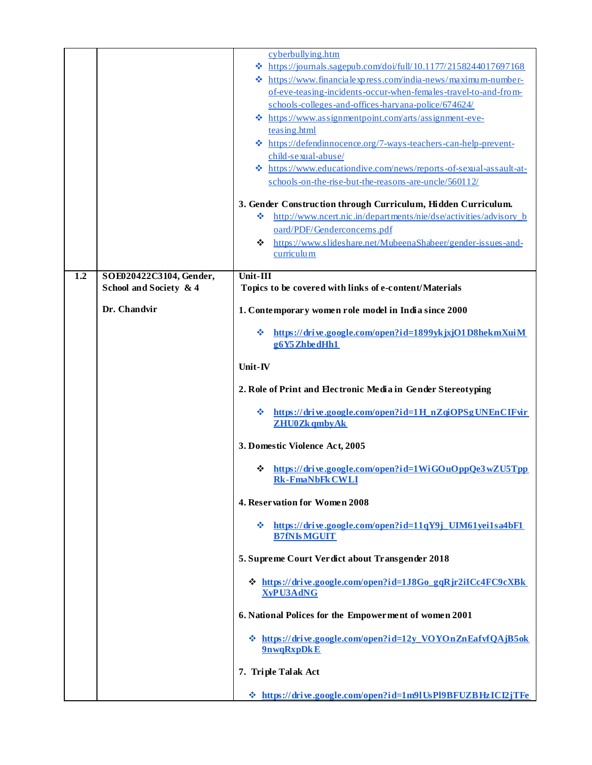|     |                                                   | cyberbullying.htm<br>$\textcolor{blue}{\bigstar}$ https://journals.sagepub.com/doi/full/10.1177/2158244017697168 |
|-----|---------------------------------------------------|------------------------------------------------------------------------------------------------------------------|
|     |                                                   | ❖ https://www.financialexpress.com/india-news/maximum-number-                                                    |
|     |                                                   | of-eve-teasing-incidents-occur-when-females-travel-to-and-from-                                                  |
|     |                                                   | schools-colleges-and-offices-haryana-police/674624/                                                              |
|     |                                                   | * https://www.assignmentpoint.com/arts/assignment-eve-                                                           |
|     |                                                   | teasing.html                                                                                                     |
|     |                                                   | * https://defendinnocence.org/7-ways-teachers-can-help-prevent-                                                  |
|     |                                                   | child-sexual-abuse/                                                                                              |
|     |                                                   | https://www.educationdive.com/news/reports-of-sexual-assault-at-<br>∙                                            |
|     |                                                   | schools-on-the-rise-but-the-reasons-are-uncle/560112/                                                            |
|     |                                                   |                                                                                                                  |
|     |                                                   | 3. Gender Construction through Curriculum, Hidden Curriculum.                                                    |
|     |                                                   | http://www.ncert.nic.in/departments/nie/dse/activities/advisory b<br>❖                                           |
|     |                                                   | oard/PDF/Genderconcerns.pdf                                                                                      |
|     |                                                   | https://www.slideshare.net/MubeenaShabeer/gender-issues-and-<br>❖                                                |
|     |                                                   | curriculum                                                                                                       |
|     |                                                   | $Unit-III$                                                                                                       |
| 1.2 | SOE020422C3104, Gender,<br>School and Society & 4 | Topics to be covered with links of e-content/Materials                                                           |
|     |                                                   |                                                                                                                  |
|     | Dr. Chandvir                                      | 1. Contemporary women role model in India since 2000                                                             |
|     |                                                   | https://drive.google.com/open?id=1899ykjxjO1D8hekmXuiM<br>❖                                                      |
|     |                                                   | g6Y5 ZhbedHh1                                                                                                    |
|     |                                                   |                                                                                                                  |
|     |                                                   | Unit-IV                                                                                                          |
|     |                                                   | 2. Role of Print and Electronic Media in Gender Stereotyping                                                     |
|     |                                                   | https://drive.google.com/open?id=1H_nZqiOPSgUNEnCIFvir<br>❖                                                      |
|     |                                                   | <b>ZHU0Zk</b> qmby Ak                                                                                            |
|     |                                                   | 3. Domestic Violence Act, 2005                                                                                   |
|     |                                                   | https://drive.google.com/open?id=1WiGOuOppQe3wZU5Tpp<br>❖                                                        |
|     |                                                   | <b>Rk-FmaNbFk CWLI</b>                                                                                           |
|     |                                                   | 4. Reservation for Women 2008                                                                                    |
|     |                                                   |                                                                                                                  |
|     |                                                   | $\div$ https://drive.google.com/open?id=11qY9j UIM61yei1sa4bF1<br><b>B7fNIs MGUIT</b>                            |
|     |                                                   | 5. Supreme Court Verdict about Transgender 2018                                                                  |
|     |                                                   |                                                                                                                  |
|     |                                                   | * https://drive.google.com/open?id=1J8Go_gqRjr2iICc4FC9cXBk<br><b>XyPU3AdNG</b>                                  |
|     |                                                   | 6. National Polices for the Empowerment of women 2001                                                            |
|     |                                                   | ☆ https://drive.google.com/open?id=12y VOYOnZnEafvfQAjB5ok                                                       |
|     |                                                   | 9nwqRxpDkE                                                                                                       |
|     |                                                   | 7. Triple Talak Act                                                                                              |
|     |                                                   | * https://drive.google.com/open?id=1m91UsP19BFUZBHzICI2jTFe                                                      |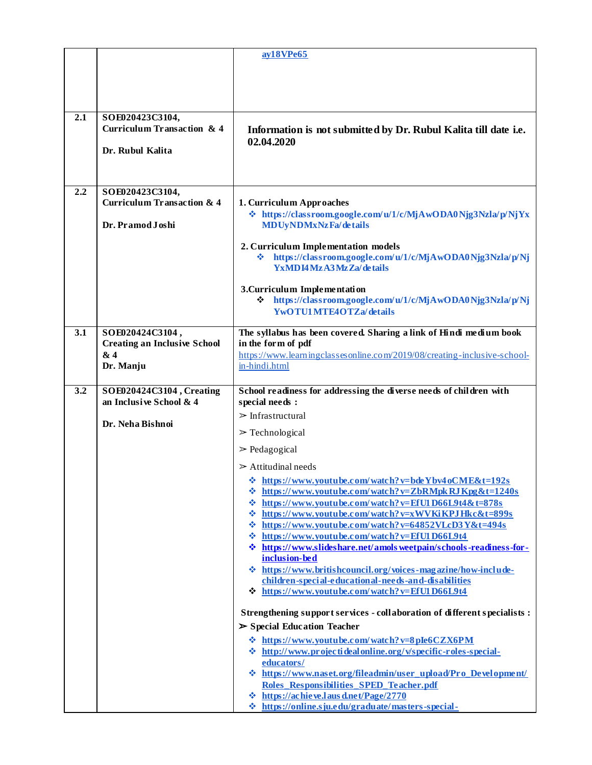|     |                                       | ay18VPe65                                                                                                          |
|-----|---------------------------------------|--------------------------------------------------------------------------------------------------------------------|
|     |                                       |                                                                                                                    |
|     |                                       |                                                                                                                    |
|     |                                       |                                                                                                                    |
|     |                                       |                                                                                                                    |
| 2.1 | SOE020423C3104,                       |                                                                                                                    |
|     | Curriculum Transaction & 4            | Information is not submitted by Dr. Rubul Kalita till date i.e.                                                    |
|     |                                       | 02.04.2020                                                                                                         |
|     | Dr. Rubul Kalita                      |                                                                                                                    |
|     |                                       |                                                                                                                    |
|     |                                       |                                                                                                                    |
| 2.2 | SOE020423C3104,                       |                                                                                                                    |
|     | <b>Curriculum Transaction &amp; 4</b> | 1. Curriculum Approaches                                                                                           |
|     |                                       | ↓ https://classroom.google.com/u/1/c/MjAwODA0Njg3Nzla/p/NjYx                                                       |
|     | Dr. Pramod Joshi                      | <b>MDUyNDMxNzFa/details</b>                                                                                        |
|     |                                       |                                                                                                                    |
|     |                                       | 2. Curriculum Implementation models<br>https://classroom.google.com/u/1/c/MjAwODA0Njg3Nzla/p/Nj<br>❖               |
|     |                                       | YxMDI4 Mz A3 Mz Za/details                                                                                         |
|     |                                       |                                                                                                                    |
|     |                                       | 3. Curriculum Implementation                                                                                       |
|     |                                       | ↓ https://classroom.google.com/u/1/c/MjAwODA0Njg3Nzla/p/Nj                                                         |
|     |                                       | <b>YwOTU1MTE4OTZa/details</b>                                                                                      |
| 3.1 | SOE020424C3104,                       | The syllabus has been covered. Sharing a link of Hindi medium book                                                 |
|     | <b>Creating an Inclusive School</b>   | in the form of pdf                                                                                                 |
|     | & 4                                   | https://www.learningclassesonline.com/2019/08/creating-inclusive-school-                                           |
|     | Dr. Manju                             | in-hindi.html                                                                                                      |
|     |                                       |                                                                                                                    |
| 3.2 | SOE020424C3104, Creating              | School readiness for addressing the diverse needs of children with                                                 |
|     | an Inclusive School & 4               | special needs :                                                                                                    |
|     | Dr. Neha Bishnoi                      | $\triangleright$ Infrastructural                                                                                   |
|     |                                       | $\triangleright$ Technological                                                                                     |
|     |                                       | $\geq$ Pedagogical                                                                                                 |
|     |                                       |                                                                                                                    |
|     |                                       | $\geq$ Attitudinal needs                                                                                           |
|     |                                       | <b>☆</b> https://www.youtube.com/watch?v=bdeYbv4oCME&t=192s<br>https://www.youtube.com/watch?v=ZbRMpkRJKpg&t=1240s |
|     |                                       | ❖<br>$\div$ https://www.youtube.com/watch?v=EfU1D66L9t4&t=878s                                                     |
|     |                                       | <b>☆</b> https://www.youtube.com/watch?v=xWVKiKPJHkc&t=899s                                                        |
|     |                                       | https://www.youtube.com/watch?v=64852VLcD3Y&t=494s<br>❖                                                            |
|     |                                       | <b>☆</b> https://www.youtube.com/watch?v=EfU1D66L9t4                                                               |
|     |                                       | <b>☆</b> https://www.slideshare.net/amols weetpain/schools-readiness-for-                                          |
|     |                                       | inclusion-bed                                                                                                      |
|     |                                       | https://www.britishcouncil.org/voices-magazine/how-include-<br>÷.                                                  |
|     |                                       | children-special-educational-needs-and-disabilities<br>$\div$ https://www.youtube.com/watch?v=EfU1D66L9t4          |
|     |                                       |                                                                                                                    |
|     |                                       | Strengthening support services - collaboration of different specialists :                                          |
|     |                                       | $\triangleright$ Special Education Teacher                                                                         |
|     |                                       | <b>☆</b> https://www.youtube.com/watch?v=8pIe6CZX6PM                                                               |
|     |                                       | ☆ http://www.projectidealonline.org/v/specific-roles-special-                                                      |
|     |                                       | educators/                                                                                                         |
|     |                                       | * https://www.naset.org/fileadmin/user_upload/Pro_Development/                                                     |
|     |                                       | Roles Responsibilities SPED Teacher.pdf                                                                            |
|     |                                       | $\div$ https://achieve.lausd.net/Page/2770                                                                         |
|     |                                       | $\div$ https://online.sju.edu/graduate/masters-special-                                                            |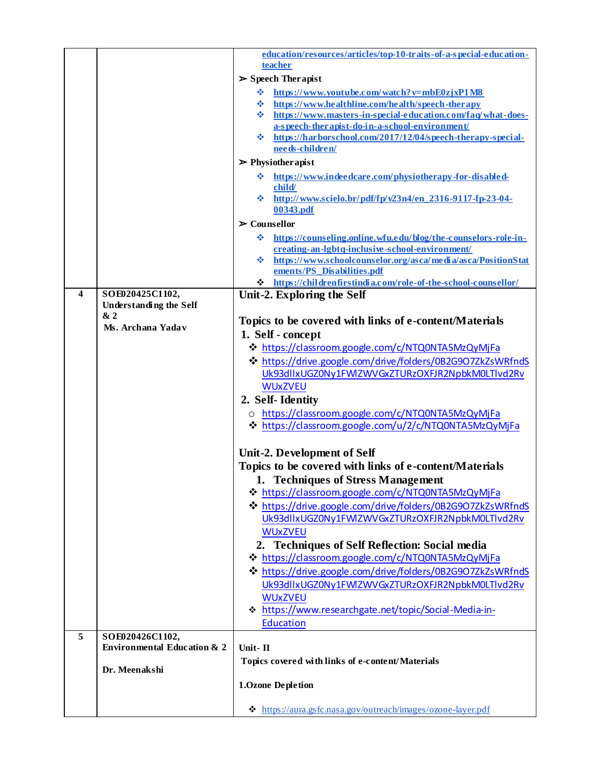|   |                                        | education/resources/articles/top-10-traits-of-a-special-education-                                         |
|---|----------------------------------------|------------------------------------------------------------------------------------------------------------|
|   |                                        | teacher                                                                                                    |
|   |                                        | $\triangleright$ Speech Therapist                                                                          |
|   |                                        |                                                                                                            |
|   |                                        | https://www.youtube.com/watch?v=mbE0zjxP1M8<br>❖<br>https://www.healthline.com/health/speech-therapy<br>❖  |
|   |                                        | https://www.masters-in-special-education.com/faq/what-does-<br>壘                                           |
|   |                                        | a-s peech-ther apist-do-in-a-school-environment/                                                           |
|   |                                        | https://harborschool.com/2017/12/04/speech-therapy-special-<br>樂                                           |
|   |                                        | needs-children/                                                                                            |
|   |                                        | $\triangleright$ Physiother apist                                                                          |
|   |                                        | https://www.indeedcare.com/physiotherapy-for-disabled-<br>❖                                                |
|   |                                        | child/                                                                                                     |
|   |                                        | $\frac{\text{at}}{\text{at}}$ http://www.scielo.br/pdf/fp/v23n4/en 2316-9117-fp-23-04-                     |
|   |                                        | 00343.pdf                                                                                                  |
|   |                                        | $\triangleright$ Counsellor                                                                                |
|   |                                        | https://counseling.online.wfu.edu/blog/the-counselors-role-in-<br>÷                                        |
|   |                                        | creating-an-lgbtq-inclusive-school-environment/                                                            |
|   |                                        | https://www.schoolcounselor.org/asca/media/asca/PositionStat<br>÷.                                         |
|   |                                        | ements/PS Disabilities.pdf                                                                                 |
|   |                                        | * https://childrenfirstindia.com/role-of-the-school-counsellor/                                            |
| 4 | SOE020425C1102,                        | Unit-2. Exploring the Self                                                                                 |
|   | <b>Understanding the Self</b>          |                                                                                                            |
|   | &2                                     | Topics to be covered with links of e-content/Materials                                                     |
|   | Ms. Archana Yadav                      | 1. Self - concept                                                                                          |
|   |                                        | ❖ https://classroom.google.com/c/NTQ0NTA5MzQyMjFa                                                          |
|   |                                        | ☆ https://drive.google.com/drive/folders/0B2G9O7ZkZsWRfndS                                                 |
|   |                                        | Uk93dllxUGZ0Ny1FWlZWVGxZTURzOXFJR2NpbkM0LTlvd2Rv                                                           |
|   |                                        | <b>WUxZVEU</b>                                                                                             |
|   |                                        | 2. Self-Identity                                                                                           |
|   |                                        |                                                                                                            |
|   |                                        | o https://classroom.google.com/c/NTQ0NTA5MzQyMjFa<br>→ https://classroom.google.com/u/2/c/NTQ0NTA5MzQyMjFa |
|   |                                        |                                                                                                            |
|   |                                        |                                                                                                            |
|   |                                        | Unit-2. Development of Self                                                                                |
|   |                                        | Topics to be covered with links of e-content/Materials                                                     |
|   |                                        | 1. Techniques of Stress Management                                                                         |
|   |                                        | ☆ https://classroom.google.com/c/NTQ0NTA5MzQyMjFa                                                          |
|   |                                        | ❖ https://drive.google.com/drive/folders/0B2G9O7ZkZsWRfndS                                                 |
|   |                                        | Uk93dllxUGZ0Ny1FWlZWVGxZTURzOXFJR2NpbkM0LTlvd2Rv                                                           |
|   |                                        | <b>WUxZVEU</b>                                                                                             |
|   |                                        | 2. Techniques of Self Reflection: Social media                                                             |
|   |                                        | ❖ https://classroom.google.com/c/NTQ0NTA5MzQyMjFa                                                          |
|   |                                        | ❖ https://drive.google.com/drive/folders/0B2G9O7ZkZsWRfndS                                                 |
|   |                                        | Uk93dllxUGZ0Ny1FWlZWVGxZTURzOXFJR2NpbkM0LTlvd2Rv                                                           |
|   |                                        | <b>WUxZVEU</b>                                                                                             |
|   |                                        | → https://www.researchgate.net/topic/Social-Media-in-                                                      |
|   |                                        | <b>Education</b>                                                                                           |
| 5 | SOE020426C1102,                        |                                                                                                            |
|   | <b>Environmental Education &amp; 2</b> | Unit-II                                                                                                    |
|   |                                        | Topics covered with links of e-content/Materials                                                           |
|   | Dr. Meenakshi                          |                                                                                                            |
|   |                                        | 1.Ozone Depletion                                                                                          |
|   |                                        |                                                                                                            |
|   |                                        | ☆ https://aura.gsfc.nasa.gov/outreach/images/ozone-layer.pdf                                               |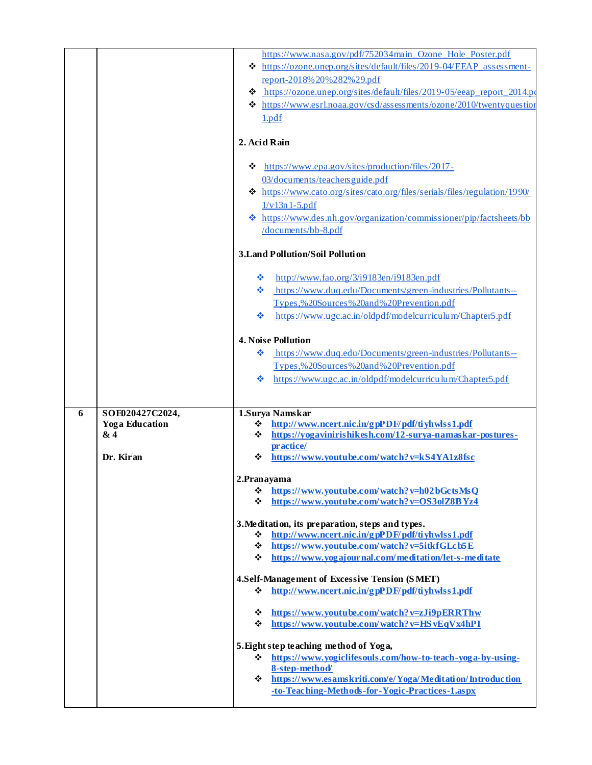|   |                                                              | https://www.nasa.gov/pdf/752034main Ozone Hole Poster.pdf<br>☆ https://ozone.unep.org/sites/default/files/2019-04/EEAP assessment-<br>report-2018% 20% 282% 29.pdf<br>https://ozone.unep.org/sites/default/files/2019-05/eeap_report_2014.po<br>❖<br>$\triangleleft$ https://www.esrl.noaa.gov/csd/assessments/ozone/2010/twentyquestion<br>1.pdf<br>2. Acid Rain<br>https://www.epa.gov/sites/production/files/2017-<br>❖<br>03/documents/teachers guide.pdf<br>☆ https://www.cato.org/sites/cato.org/files/serials/files/regulation/1990/<br>$1/v13n1-5.pdf$<br><b>❖</b> https://www.des.nh.gov/organization/commissioner/pip/factsheets/bb<br>/documents/bb-8.pdf |
|---|--------------------------------------------------------------|----------------------------------------------------------------------------------------------------------------------------------------------------------------------------------------------------------------------------------------------------------------------------------------------------------------------------------------------------------------------------------------------------------------------------------------------------------------------------------------------------------------------------------------------------------------------------------------------------------------------------------------------------------------------|
|   |                                                              | 3. Land Pollution/Soil Pollution                                                                                                                                                                                                                                                                                                                                                                                                                                                                                                                                                                                                                                     |
|   |                                                              | http://www.fao.org/3/i9183en/i9183en.pdf<br>❖<br>https://www.duq.edu/Documents/green-industries/Pollutants--<br>❖<br>Types,%20Sources%20and%20Prevention.pdf<br>https://www.ugc.ac.in/oldpdf/modelcurriculum/Chapter5.pdf<br>❖                                                                                                                                                                                                                                                                                                                                                                                                                                       |
|   |                                                              | <b>4. Noise Pollution</b><br>https://www.duq.edu/Documents/green-industries/Pollutants--<br>❖                                                                                                                                                                                                                                                                                                                                                                                                                                                                                                                                                                        |
|   |                                                              | Types,%20Sources%20and%20Prevention.pdf<br>https://www.ugc.ac.in/oldpdf/modelcurriculum/Chapter5.pdf<br>❖                                                                                                                                                                                                                                                                                                                                                                                                                                                                                                                                                            |
|   |                                                              |                                                                                                                                                                                                                                                                                                                                                                                                                                                                                                                                                                                                                                                                      |
| 6 | SOE020427C2024,<br><b>Yoga Education</b><br>& 4<br>Dr. Kiran | 1.Surya Namskar<br>http://www.ncert.nic.in/gpPDF/pdf/tiyhwlss1.pdf<br>❖<br>https://yogavinirishikesh.com/12-surya-namaskar-postures-<br>❖<br>pr actice/<br>https://www.youtube.com/watch?v=kS4YA1z8fsc<br>❖                                                                                                                                                                                                                                                                                                                                                                                                                                                          |
|   |                                                              | 2.Pranayama<br>$\div$ https://www.youtube.com/watch?v=h02bGctsMsQ<br>$\div$ https://www.youtube.com/watch?v=OS3olZ8BYz4                                                                                                                                                                                                                                                                                                                                                                                                                                                                                                                                              |
|   |                                                              | 3. Meditation, its preparation, steps and types.<br>http://www.ncert.nic.in/gpPDF/pdf/tiyhwlss1.pdf<br>❖<br>❖<br>https://www.youtube.com/watch?v=5itkfGLcb5E<br>https://www.yogajournal.com/meditation/let-s-meditate<br>❖                                                                                                                                                                                                                                                                                                                                                                                                                                           |
|   |                                                              | 4.Self-Management of Excessive Tension (SMET)<br>http://www.ncert.nic.in/gpPDF/pdf/tiyhwlss1.pdf<br>❖                                                                                                                                                                                                                                                                                                                                                                                                                                                                                                                                                                |
|   |                                                              | https://www.youtube.com/watch?v=zJi9pERRThw<br>❖<br>https://www.youtube.com/watch?v=HSvEqVx4hPI<br>❖                                                                                                                                                                                                                                                                                                                                                                                                                                                                                                                                                                 |
|   |                                                              | 5. Eight step teaching method of Yoga,<br>https://www.yogiclifesouls.com/how-to-teach-yog a-by-using-<br>❖<br>8-step-method/<br>☆ https://www.esamskriti.com/e/Yoga/Meditation/Introduction<br>-to-Teaching-Methods-for-Yogic-Practices-1.aspx                                                                                                                                                                                                                                                                                                                                                                                                                       |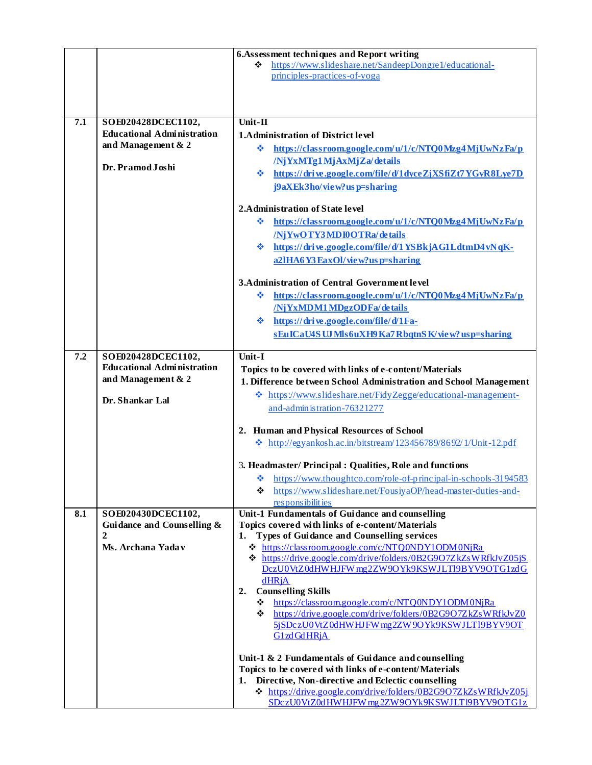|     |                                                         | 6. Assessment techniques and Report writing                           |
|-----|---------------------------------------------------------|-----------------------------------------------------------------------|
|     |                                                         | https://www.slideshare.net/SandeepDongre1/educational-<br>❖           |
|     |                                                         | principles-practices-of-yoga                                          |
|     |                                                         |                                                                       |
|     |                                                         |                                                                       |
|     |                                                         |                                                                       |
| 7.1 | SOE020428DCEC1102,                                      | Unit-II                                                               |
|     | <b>Educational Administration</b><br>and Management & 2 | <b>1.Administration of District level</b>                             |
|     |                                                         | ÷<br>https://classroom.google.com/u/1/c/NTQ0Mzg4MjUwNzFa/p            |
|     | Dr. Pramod Joshi                                        | /NjYxMTg1MjAxMjZa/details                                             |
|     |                                                         | https://drive.google.com/file/d/1dyceZjXSfiZt7YGvR8Lye7D<br>豪。        |
|     |                                                         | j9aXEk3ho/view?usp=sharing                                            |
|     |                                                         |                                                                       |
|     |                                                         | 2. Administration of State level                                      |
|     |                                                         | https://classroom.google.com/u/1/c/NTQ0Mzg4MjUwNzFa/p<br>÷.           |
|     |                                                         | /NiYwOTY3MDI0OTRa/details                                             |
|     |                                                         | $\div$ https://drive.google.com/file/d/1YSBkjAG1LdtmD4vNqK-           |
|     |                                                         | a21HA6Y3EaxOl/view?usp=sharing                                        |
|     |                                                         |                                                                       |
|     |                                                         | 3. Administration of Central Government level                         |
|     |                                                         | https://classroom.google.com/u/1/c/NTO0Mzg4MjUwNzFa/p<br>❖            |
|     |                                                         | /NjYxMDM1MDgzODFa/details                                             |
|     |                                                         | https://drive.google.com/file/d/1Fa-<br>※                             |
|     |                                                         | sEuICaU4S UJ Mls6uXH9 Ka7 RbqtnS K/view? usp=sharing                  |
| 7.2 | SOE020428DCEC1102,                                      | Unit-I                                                                |
|     | <b>Educational Administration</b>                       | Topics to be covered with links of e-content/Materials                |
|     | and Management & 2                                      | 1. Difference between School Administration and School Management     |
|     |                                                         | * https://www.slideshare.net/FidyZegge/educational-management-        |
|     | Dr. Shankar Lal                                         | and-admin is tration-76321277                                         |
|     |                                                         |                                                                       |
|     |                                                         | 2. Human and Physical Resources of School                             |
|     |                                                         | $\cdot$ http://egyankosh.ac.in/bitstream/123456789/8692/1/Unit-12.pdf |
|     |                                                         |                                                                       |
|     |                                                         | 3. Headmaster/ Principal: Qualities, Role and functions               |
|     |                                                         | $\div$ https://www.thoughtco.com/role-of-principal-in-schools-3194583 |
|     |                                                         | https://www.slideshare.net/FousiyaOP/head-master-duties-and-<br>❖     |
|     |                                                         | responsibilities<br>Unit-1 Fundamentals of Guidance and counselling   |
| 8.1 | SOE020430DCEC1102,<br>Guidance and Counselling &        | Topics covered with links of e-content/Materials                      |
|     | 2                                                       | <b>Types of Guidance and Counselling services</b><br>1.               |
|     | Ms. Archana Yadav                                       | ☆ https://classroom.google.com/c/NTQ0NDY1ODM0NjRa                     |
|     |                                                         | ☆ https://drive.google.com/drive/folders/0B2G9O7ZkZsWRfkJvZ05jS       |
|     |                                                         | DczU0VtZ0dHWHJFW mg2ZW9OYk9KSWJLTl9BYV9OTG1zdG                        |
|     |                                                         | dHRjA                                                                 |
|     |                                                         | <b>Counselling Skills</b><br>2.                                       |
|     |                                                         | https://classroom.google.com/c/NTQ0NDY1ODM0NjRa<br>❖                  |
|     |                                                         | ☆ https://drive.google.com/drive/folders/0B2G9O7ZkZsWRfkJvZ0          |
|     |                                                         | 5jSDczU0VtZ0dHWHJFWmg2ZW9OYk9KSWJLT19BYV9OT<br>G1zd Gd HRjA           |
|     |                                                         |                                                                       |
|     |                                                         | Unit-1 & 2 Fundamentals of Guidance and counselling                   |
|     |                                                         | Topics to be covered with links of e-content/Materials                |
|     |                                                         | 1. Directive, Non-directive and Eclectic counselling                  |
|     |                                                         | ☆ https://drive.google.com/drive/folders/0B2G9O7ZkZsWRfkJvZ05j        |
|     |                                                         | SDczU0VtZ0dHWHJFW mg2ZW9OYk9KSWJLT19BYV9OTG1z                         |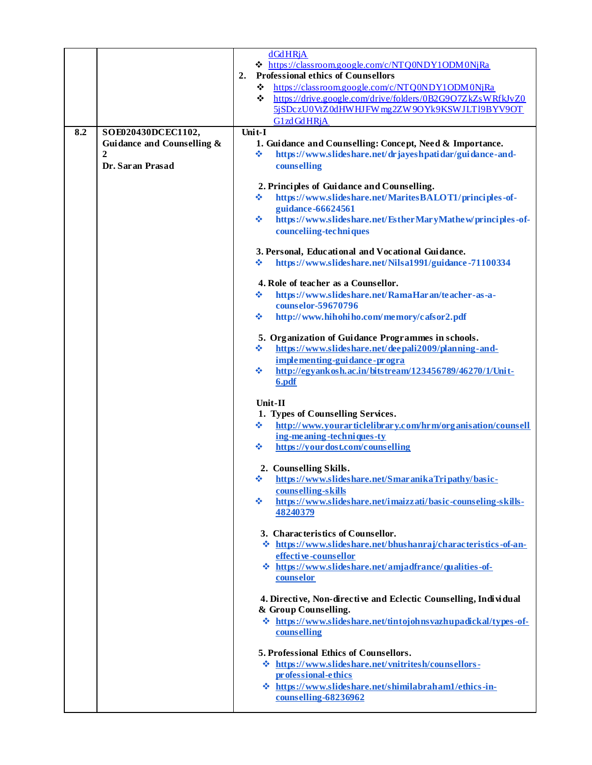|     |                                                  | dGdHRjA<br>☆ https://classroom.google.com/c/NTQ0NDY1ODM0NjRa<br><b>Professional ethics of Counsellors</b><br>2.<br>https://classroom.google.com/c/NTQ0NDY1ODM0NjRa<br>❖<br>https://drive.google.com/drive/folders/0B2G9O7ZkZsWRfkJvZ0<br>❖<br>5jSDczU0VtZ0dHWHJFWmg2ZW9OYk9KSWJLT19BYV9OT<br>G1zdGdHRjA<br>Unit-I |
|-----|--------------------------------------------------|-------------------------------------------------------------------------------------------------------------------------------------------------------------------------------------------------------------------------------------------------------------------------------------------------------------------|
| 8.2 | SOE020430DCEC1102,<br>Guidance and Counselling & | 1. Guidance and Counselling: Concept, Need & Importance.                                                                                                                                                                                                                                                          |
|     | $\mathbf{2}$                                     | https://www.slideshare.net/drjayeshpatidar/guidance-and-<br>❖                                                                                                                                                                                                                                                     |
|     | Dr. Saran Prasad                                 | counselling                                                                                                                                                                                                                                                                                                       |
|     |                                                  | 2. Principles of Guidance and Counselling.<br>❖<br>https://www.slideshare.net/MaritesBALOT1/principles-of-<br>guidance-66624561<br>❖<br>https://www.slideshare.net/EstherMaryMathew/principles-of-<br>counceliing-techniques                                                                                      |
|     |                                                  | 3. Personal, Educational and Vocational Guidance.<br>https://www.slideshare.net/Nilsa1991/guidance-71100334<br>❖                                                                                                                                                                                                  |
|     |                                                  | 4. Role of teacher as a Counsellor.                                                                                                                                                                                                                                                                               |
|     |                                                  | https://www.slideshare.net/RamaHaran/teacher-as-a-<br>❖                                                                                                                                                                                                                                                           |
|     |                                                  | counselor-59670796                                                                                                                                                                                                                                                                                                |
|     |                                                  | http://www.hihohiho.com/memory/cafsor2.pdf<br>❖                                                                                                                                                                                                                                                                   |
|     |                                                  | 5. Organization of Guidance Programmes in schools.                                                                                                                                                                                                                                                                |
|     |                                                  | https://www.slideshare.net/deepali2009/planning-and-<br>❖                                                                                                                                                                                                                                                         |
|     |                                                  | implementing-guidance-progra<br>http://egyankosh.ac.in/bitstream/123456789/46270/1/Unit-<br>※<br>6.pdf                                                                                                                                                                                                            |
|     |                                                  | Unit-II                                                                                                                                                                                                                                                                                                           |
|     |                                                  | 1. Types of Counselling Services.                                                                                                                                                                                                                                                                                 |
|     |                                                  | http://www.yourarticlelibrary.com/hrm/organisation/counsell<br>❖<br>ing-meaning-techniques-ty                                                                                                                                                                                                                     |
|     |                                                  | https://yourdost.com/counselling<br>❖                                                                                                                                                                                                                                                                             |
|     |                                                  | 2. Counselling Skills.<br>* https://www.slideshare.net/SmaranikaTripathy/basic-                                                                                                                                                                                                                                   |
|     |                                                  | counselling-skills                                                                                                                                                                                                                                                                                                |
|     |                                                  | ❖<br>https://www.slideshare.net/imaizzati/basic-counseling-skills-<br>48240379                                                                                                                                                                                                                                    |
|     |                                                  | 3. Characteristics of Counsellor.<br>☆ https://www.slideshare.net/bhushanraj/characteristics-of-an-<br>effective-counsellor<br>❖ https://www.slideshare.net/amjadfrance/qualities-of-                                                                                                                             |
|     |                                                  | counselor<br>4. Directive, Non-directive and Eclectic Counselling, Individual                                                                                                                                                                                                                                     |
|     |                                                  | & Group Counselling.<br>$\div$ https://www.slideshare.net/tintojohnsvazhupadickal/types-of-<br>counselling                                                                                                                                                                                                        |
|     |                                                  | 5. Professional Ethics of Counsellors.<br>☆ https://www.slideshare.net/vnitritesh/counsellors-<br>pr of essional-ethics<br>https://www.slideshare.net/shimilabraham1/ethics-in-<br>-⊱<br>counselling-68236962                                                                                                     |